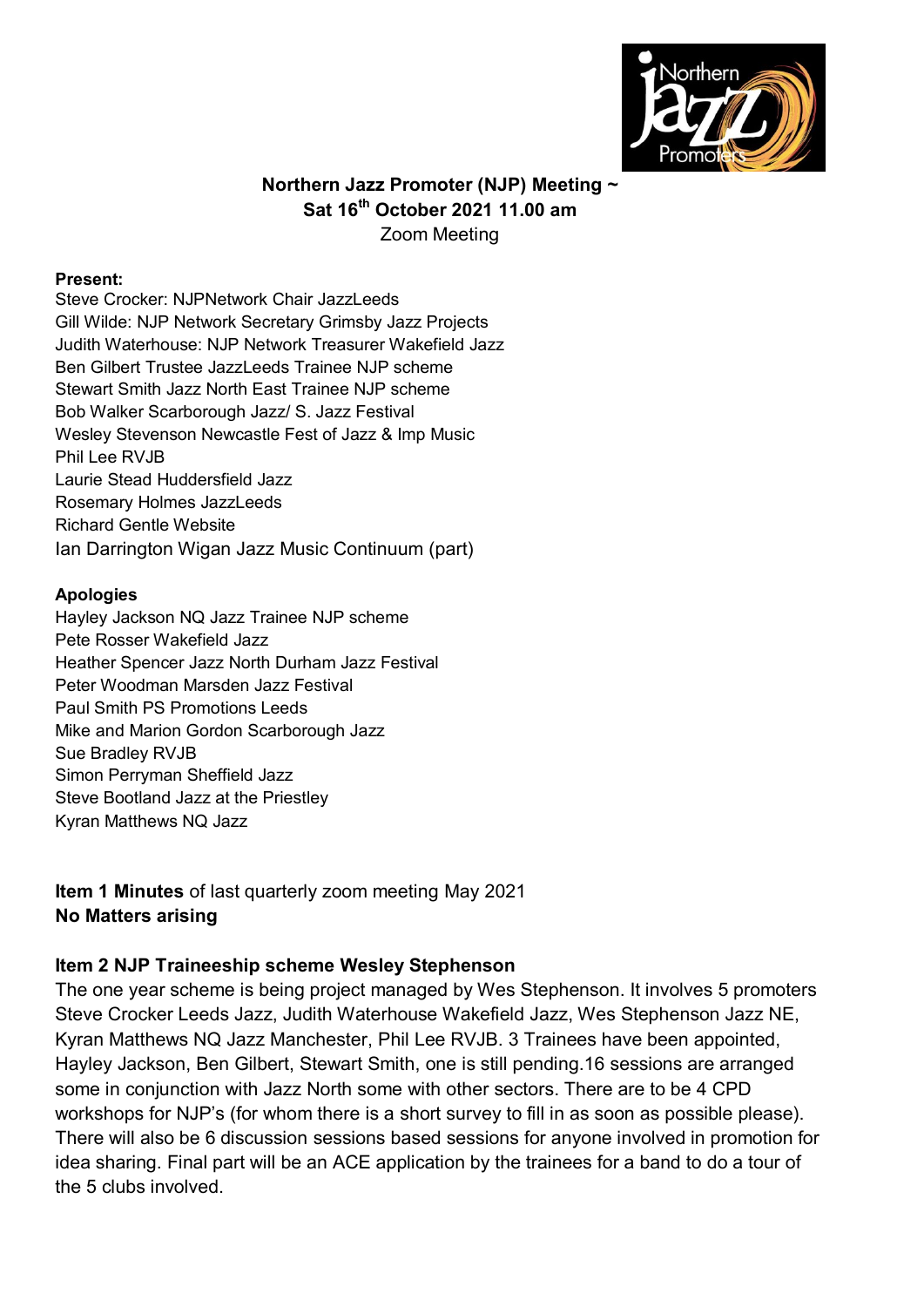

### **Northern Jazz Promoter (NJP) Meeting ~ Sat 16th October 2021 11.00 am** Zoom Meeting

#### **Present:**

Steve Crocker: NJPNetwork Chair JazzLeeds Gill Wilde: NJP Network Secretary Grimsby Jazz Projects Judith Waterhouse: NJP Network Treasurer Wakefield Jazz Ben Gilbert Trustee JazzLeeds Trainee NJP scheme Stewart Smith Jazz North East Trainee NJP scheme Bob Walker Scarborough Jazz/ S. Jazz Festival Wesley Stevenson Newcastle Fest of Jazz & Imp Music Phil Lee RVJB Laurie Stead Huddersfield Jazz Rosemary Holmes JazzLeeds Richard Gentle Website Ian Darrington Wigan Jazz Music Continuum (part)

#### **Apologies**

Hayley Jackson NQ Jazz Trainee NJP scheme Pete Rosser Wakefield Jazz Heather Spencer Jazz North Durham Jazz Festival Peter Woodman Marsden Jazz Festival Paul Smith PS Promotions Leeds Mike and Marion Gordon Scarborough Jazz Sue Bradley RVJB Simon Perryman Sheffield Jazz Steve Bootland Jazz at the Priestley Kyran Matthews NQ Jazz

**Item 1 Minutes** of last quarterly zoom meeting May 2021 **No Matters arising**

#### **Item 2 NJP Traineeship scheme Wesley Stephenson**

The one year scheme is being project managed by Wes Stephenson. It involves 5 promoters Steve Crocker Leeds Jazz, Judith Waterhouse Wakefield Jazz, Wes Stephenson Jazz NE, Kyran Matthews NQ Jazz Manchester, Phil Lee RVJB. 3 Trainees have been appointed, Hayley Jackson, Ben Gilbert, Stewart Smith, one is still pending.16 sessions are arranged some in conjunction with Jazz North some with other sectors. There are to be 4 CPD workshops for NJP's (for whom there is a short survey to fill in as soon as possible please). There will also be 6 discussion sessions based sessions for anyone involved in promotion for idea sharing. Final part will be an ACE application by the trainees for a band to do a tour of the 5 clubs involved.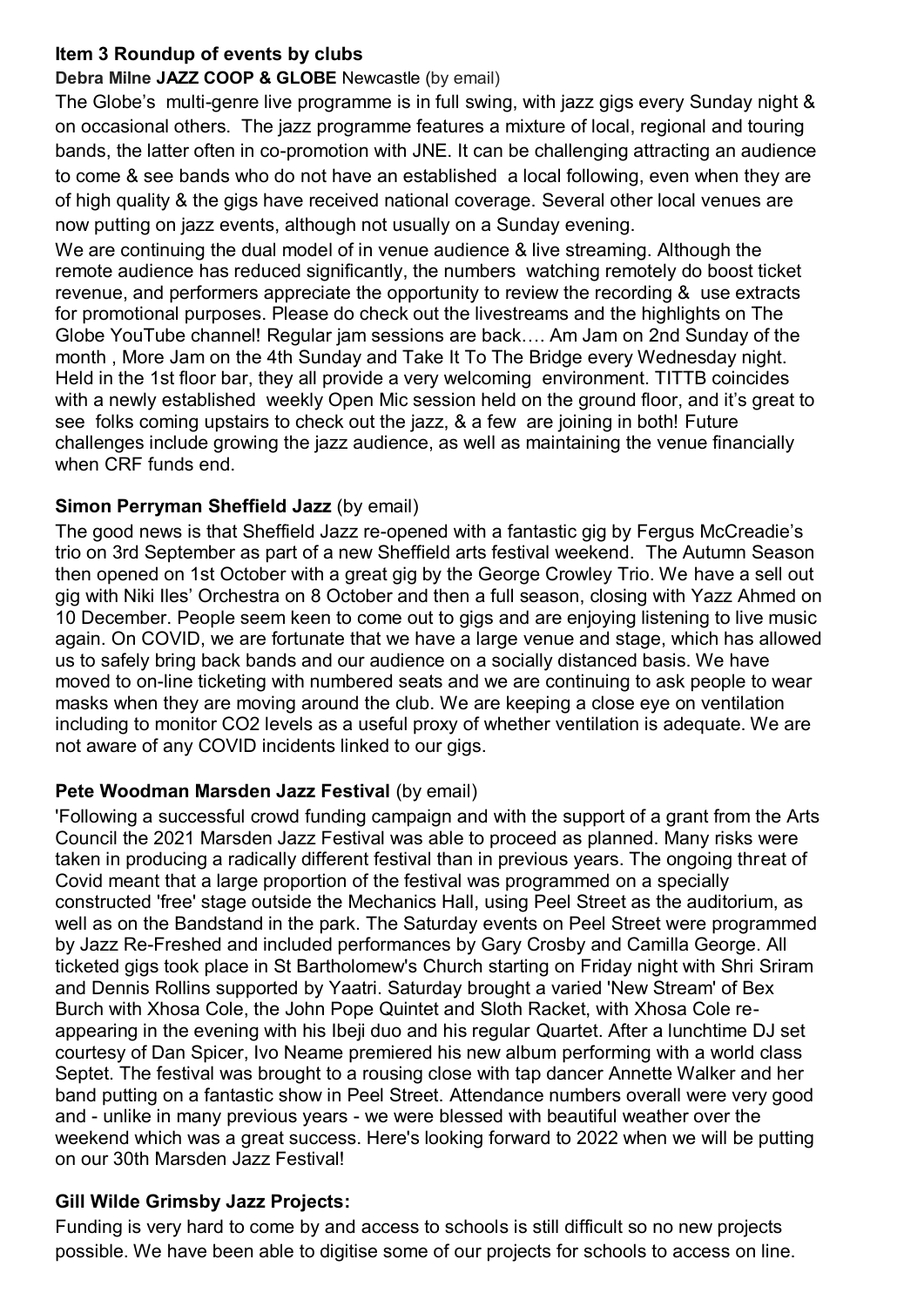### **Item 3 Roundup of events by clubs**

### **Debra Milne JAZZ COOP & GLOBE** Newcastle (by email)

The Globe's multi-genre live programme is in full swing, with jazz gigs every Sunday night & on occasional others. The jazz programme features a mixture of local, regional and touring bands, the latter often in co-promotion with JNE. It can be challenging attracting an audience to come & see bands who do not have an established a local following, even when they are of high quality & the gigs have received national coverage. Several other local venues are now putting on jazz events, although not usually on a Sunday evening.

We are continuing the dual model of in venue audience & live streaming. Although the remote audience has reduced significantly, the numbers watching remotely do boost ticket revenue, and performers appreciate the opportunity to review the recording & use extracts for promotional purposes. Please do check out the livestreams and the highlights on The Globe YouTube channel! Regular jam sessions are back…. Am Jam on 2nd Sunday of the month , More Jam on the 4th Sunday and Take It To The Bridge every Wednesday night. Held in the 1st floor bar, they all provide a very welcoming environment. TITTB coincides with a newly established weekly Open Mic session held on the ground floor, and it's great to see folks coming upstairs to check out the jazz, & a few are joining in both! Future challenges include growing the jazz audience, as well as maintaining the venue financially when CRF funds end.

### **Simon Perryman Sheffield Jazz** (by email)

The good news is that Sheffield Jazz re-opened with a fantastic gig by Fergus McCreadie's trio on 3rd September as part of a new Sheffield arts festival weekend. The Autumn Season then opened on 1st October with a great gig by the George Crowley Trio. We have a sell out gig with Niki Iles' Orchestra on 8 October and then a full season, closing with Yazz Ahmed on 10 December. People seem keen to come out to gigs and are enjoying listening to live music again. On COVID, we are fortunate that we have a large venue and stage, which has allowed us to safely bring back bands and our audience on a socially distanced basis. We have moved to on-line ticketing with numbered seats and we are continuing to ask people to wear masks when they are moving around the club. We are keeping a close eye on ventilation including to monitor CO2 levels as a useful proxy of whether ventilation is adequate. We are not aware of any COVID incidents linked to our gigs.

### **Pete Woodman Marsden Jazz Festival (by email)**

'Following a successful crowd funding campaign and with the support of a grant from the Arts Council the 2021 Marsden Jazz Festival was able to proceed as planned. Many risks were taken in producing a radically different festival than in previous years. The ongoing threat of Covid meant that a large proportion of the festival was programmed on a specially constructed 'free' stage outside the Mechanics Hall, using Peel Street as the auditorium, as well as on the Bandstand in the park. The Saturday events on Peel Street were programmed by Jazz Re-Freshed and included performances by Gary Crosby and Camilla George. All ticketed gigs took place in St Bartholomew's Church starting on Friday night with Shri Sriram and Dennis Rollins supported by Yaatri. Saturday brought a varied 'New Stream' of Bex Burch with Xhosa Cole, the John Pope Quintet and Sloth Racket, with Xhosa Cole reappearing in the evening with his Ibeji duo and his regular Quartet. After a lunchtime DJ set courtesy of Dan Spicer, Ivo Neame premiered his new album performing with a world class Septet. The festival was brought to a rousing close with tap dancer Annette Walker and her band putting on a fantastic show in Peel Street. Attendance numbers overall were very good and - unlike in many previous years - we were blessed with beautiful weather over the weekend which was a great success. Here's looking forward to 2022 when we will be putting on our 30th Marsden Jazz Festival!

### **Gill Wilde Grimsby Jazz Projects:**

Funding is very hard to come by and access to schools is still difficult so no new projects possible. We have been able to digitise some of our projects for schools to access on line.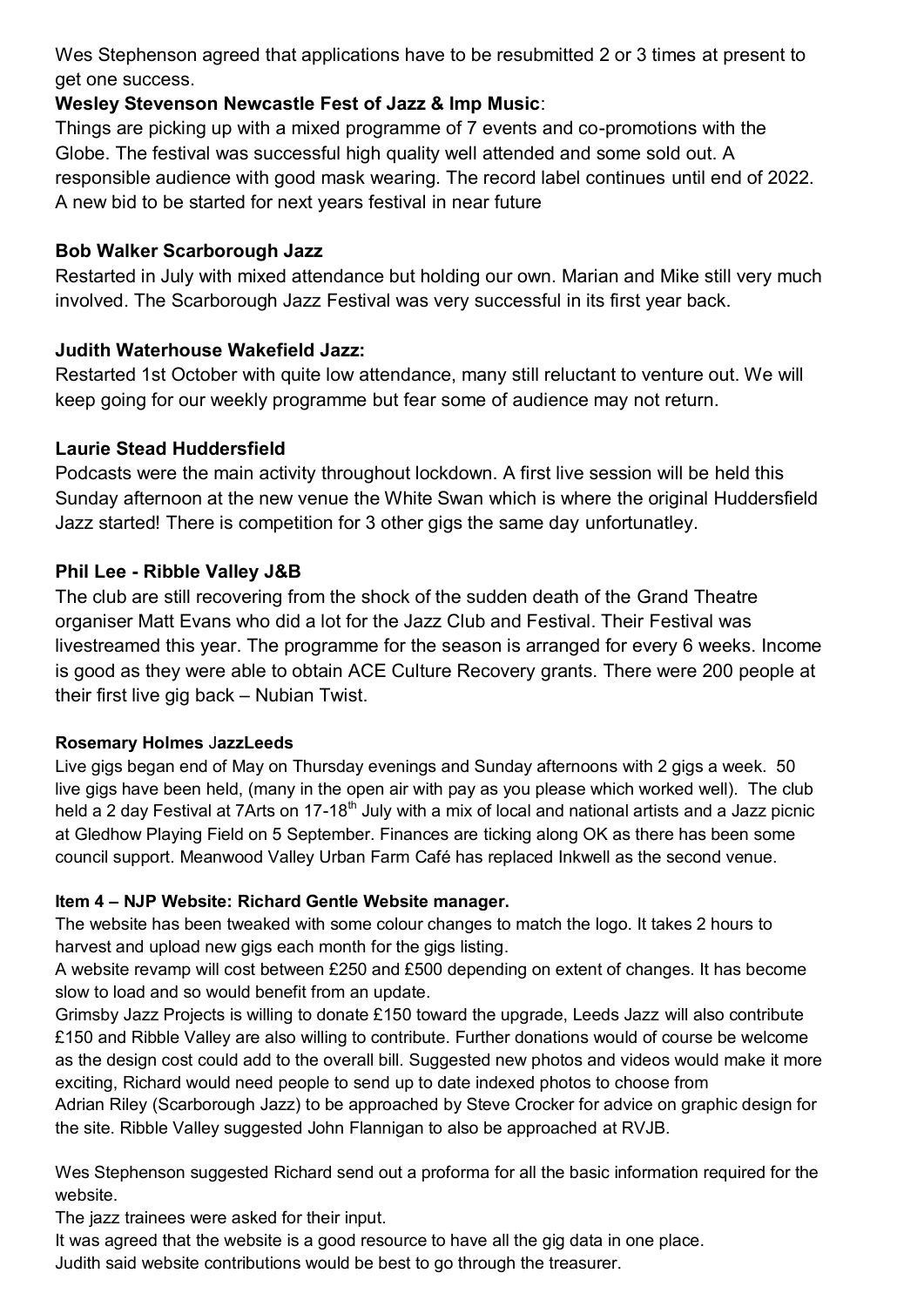Wes Stephenson agreed that applications have to be resubmitted 2 or 3 times at present to get one success.

# **Wesley Stevenson Newcastle Fest of Jazz & Imp Music**:

Things are picking up with a mixed programme of 7 events and co-promotions with the Globe. The festival was successful high quality well attended and some sold out. A responsible audience with good mask wearing. The record label continues until end of 2022. A new bid to be started for next years festival in near future

### **Bob Walker Scarborough Jazz**

Restarted in July with mixed attendance but holding our own. Marian and Mike still very much involved. The Scarborough Jazz Festival was very successful in its first year back.

# **Judith Waterhouse Wakefield Jazz:**

Restarted 1st October with quite low attendance, many still reluctant to venture out. We will keep going for our weekly programme but fear some of audience may not return.

# **Laurie Stead Huddersfield**

Podcasts were the main activity throughout lockdown. A first live session will be held this Sunday afternoon at the new venue the White Swan which is where the original Huddersfield Jazz started! There is competition for 3 other gigs the same day unfortunatley.

# **Phil Lee - Ribble Valley J&B**

The club are still recovering from the shock of the sudden death of the Grand Theatre organiser Matt Evans who did a lot for the Jazz Club and Festival. Their Festival was livestreamed this year. The programme for the season is arranged for every 6 weeks. Income is good as they were able to obtain ACE Culture Recovery grants. There were 200 people at their first live gig back – Nubian Twist.

# **Rosemary Holmes** J**azzLeeds**

Live gigs began end of May on Thursday evenings and Sunday afternoons with 2 gigs a week. 50 live gigs have been held, (many in the open air with pay as you please which worked well). The club held a 2 day Festival at 7Arts on 17-18<sup>th</sup> July with a mix of local and national artists and a Jazz picnic at Gledhow Playing Field on 5 September. Finances are ticking along OK as there has been some council support. Meanwood Valley Urban Farm Café has replaced Inkwell as the second venue.

# **Item 4 – NJP Website: Richard Gentle Website manager.**

The website has been tweaked with some colour changes to match the logo. It takes 2 hours to harvest and upload new gigs each month for the gigs listing.

A website revamp will cost between £250 and £500 depending on extent of changes. It has become slow to load and so would benefit from an update.

Grimsby Jazz Projects is willing to donate £150 toward the upgrade, Leeds Jazz will also contribute £150 and Ribble Valley are also willing to contribute. Further donations would of course be welcome as the design cost could add to the overall bill. Suggested new photos and videos would make it more exciting, Richard would need people to send up to date indexed photos to choose from

Adrian Riley (Scarborough Jazz) to be approached by Steve Crocker for advice on graphic design for the site. Ribble Valley suggested John Flannigan to also be approached at RVJB.

Wes Stephenson suggested Richard send out a proforma for all the basic information required for the website.

The jazz trainees were asked for their input.

It was agreed that the website is a good resource to have all the gig data in one place.

Judith said website contributions would be best to go through the treasurer.